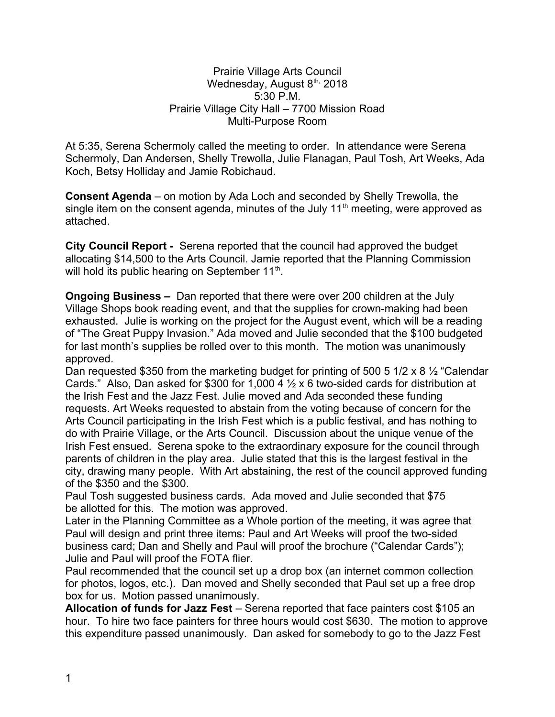## Prairie Village Arts Council Wednesday, August 8th, 2018 5:30 P.M. Prairie Village City Hall – 7700 Mission Road Multi-Purpose Room

At 5:35, Serena Schermoly called the meeting to order. In attendance were Serena Schermoly, Dan Andersen, Shelly Trewolla, Julie Flanagan, Paul Tosh, Art Weeks, Ada Koch, Betsy Holliday and Jamie Robichaud.

**Consent Agenda** – on motion by Ada Loch and seconded by Shelly Trewolla, the single item on the consent agenda, minutes of the July  $11<sup>th</sup>$  meeting, were approved as attached.

**City Council Report -** Serena reported that the council had approved the budget allocating \$14,500 to the Arts Council. Jamie reported that the Planning Commission will hold its public hearing on September 11<sup>th</sup>.

**Ongoing Business –** Dan reported that there were over 200 children at the July Village Shops book reading event, and that the supplies for crown-making had been exhausted. Julie is working on the project for the August event, which will be a reading of "The Great Puppy Invasion." Ada moved and Julie seconded that the \$100 budgeted for last month's supplies be rolled over to this month. The motion was unanimously approved.

Dan requested \$350 from the marketing budget for printing of 500 5 1/2 x 8 ½ "Calendar Cards." Also, Dan asked for \$300 for 1,000 4 ½ x 6 two-sided cards for distribution at the Irish Fest and the Jazz Fest. Julie moved and Ada seconded these funding requests. Art Weeks requested to abstain from the voting because of concern for the Arts Council participating in the Irish Fest which is a public festival, and has nothing to do with Prairie Village, or the Arts Council. Discussion about the unique venue of the Irish Fest ensued. Serena spoke to the extraordinary exposure for the council through parents of children in the play area. Julie stated that this is the largest festival in the city, drawing many people. With Art abstaining, the rest of the council approved funding of the \$350 and the \$300.

Paul Tosh suggested business cards. Ada moved and Julie seconded that \$75 be allotted for this. The motion was approved.

Later in the Planning Committee as a Whole portion of the meeting, it was agree that Paul will design and print three items: Paul and Art Weeks will proof the two-sided business card; Dan and Shelly and Paul will proof the brochure ("Calendar Cards"); Julie and Paul will proof the FOTA flier.

Paul recommended that the council set up a drop box (an internet common collection for photos, logos, etc.). Dan moved and Shelly seconded that Paul set up a free drop box for us. Motion passed unanimously.

**Allocation of funds for Jazz Fest** – Serena reported that face painters cost \$105 an hour. To hire two face painters for three hours would cost \$630. The motion to approve this expenditure passed unanimously. Dan asked for somebody to go to the Jazz Fest